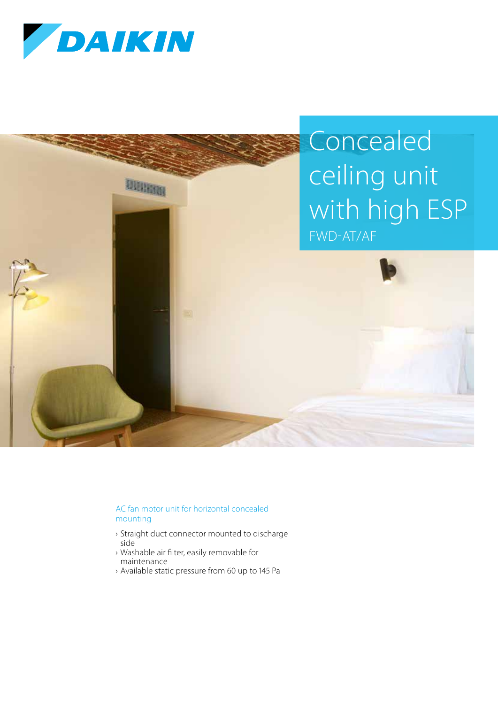



## AC fan motor unit for horizontal concealed mounting

- › Straight duct connector mounted to discharge side
- › Washable air filter, easily removable for maintenance
- › Available static pressure from 60 up to 145 Pa